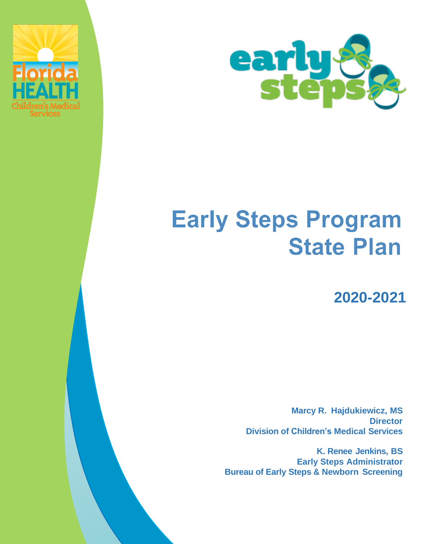



# **Early Steps Program State Plan**

**2020-2021**

**Marcy R. Hajdukiewicz, MS Director Division of Children's Medical Services**

**K. Renee Jenkins, BS Early Steps Administrator Bureau of Early Steps & Newborn Screening**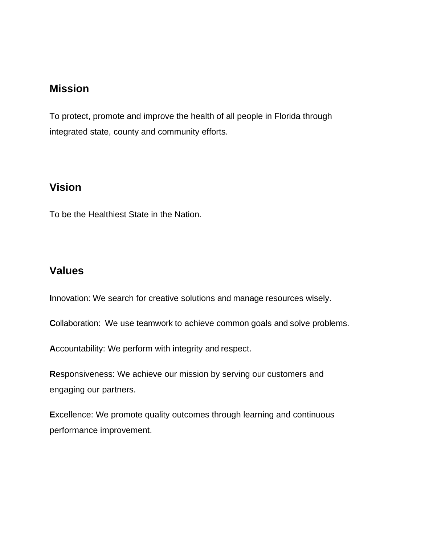## **Mission**

To protect, promote and improve the health of all people in Florida through integrated state, county and community efforts.

## **Vision**

To be the Healthiest State in the Nation.

## **Values**

**I**nnovation: We search for creative solutions and manage resources wisely.

**Collaboration:** We use teamwork to achieve common goals and solve problems.

**A**ccountability: We perform with integrity and respect.

**R**esponsiveness: We achieve our mission by serving our customers and engaging our partners.

**E**xcellence: We promote quality outcomes through learning and continuous performance improvement.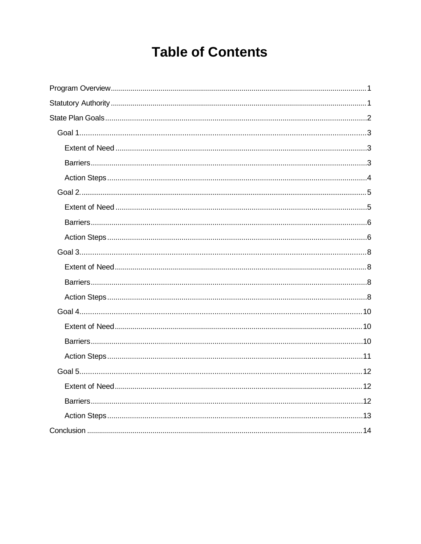## **Table of Contents**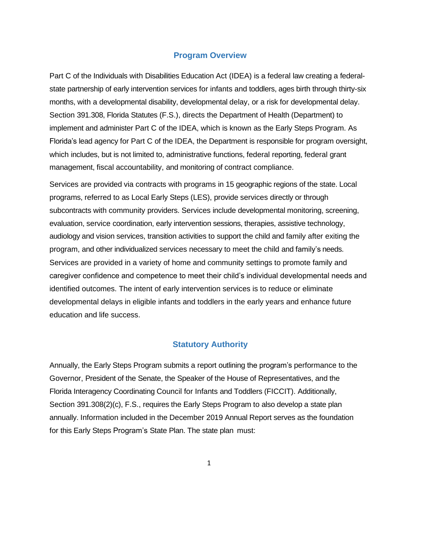#### **Program Overview**

<span id="page-3-0"></span>Part C of the Individuals with Disabilities Education Act (IDEA) is a federal law creating a federalstate partnership of early intervention services for infants and toddlers, ages birth through thirty-six months, with a developmental disability, developmental delay, or a risk for developmental delay. Section 391.308, Florida Statutes (F.S.), directs the Department of Health (Department) to implement and administer Part C of the IDEA, which is known as the Early Steps Program. As Florida's lead agency for Part C of the IDEA, the Department is responsible for program oversight, which includes, but is not limited to, administrative functions, federal reporting, federal grant management, fiscal accountability, and monitoring of contract compliance.

Services are provided via contracts with programs in 15 geographic regions of the state. Local programs, referred to as Local Early Steps (LES), provide services directly or through subcontracts with community providers. Services include developmental monitoring, screening, evaluation, service coordination, early intervention sessions, therapies, assistive technology, audiology and vision services, transition activities to support the child and family after exiting the program, and other individualized services necessary to meet the child and family's needs. Services are provided in a variety of home and community settings to promote family and caregiver confidence and competence to meet their child's individual developmental needs and identified outcomes. The intent of early intervention services is to reduce or eliminate developmental delays in eligible infants and toddlers in the early years and enhance future education and life success.

#### **Statutory Authority**

<span id="page-3-1"></span>Annually, the Early Steps Program submits a report outlining the program's performance to the Governor, President of the Senate, the Speaker of the House of Representatives, and the Florida Interagency Coordinating Council for Infants and Toddlers (FICCIT). Additionally, Section 391.308(2)(c), F.S., requires the Early Steps Program to also develop a state plan annually. Information included in the December 2019 Annual Report serves as the foundation for this Early Steps Program's State Plan. The state plan must: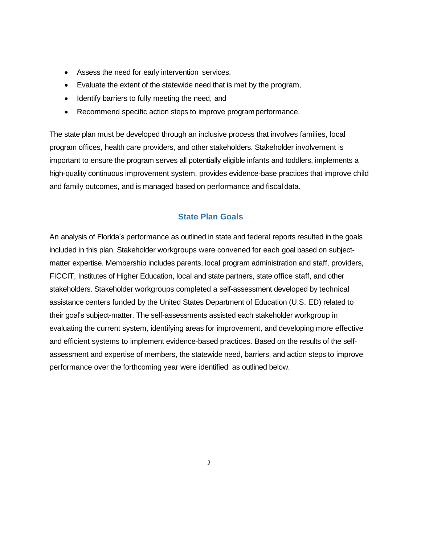- Assess the need for early intervention services,
- Evaluate the extent of the statewide need that is met by the program,
- Identify barriers to fully meeting the need, and
- Recommend specific action steps to improve programperformance.

The state plan must be developed through an inclusive process that involves families, local program offices, health care providers, and other stakeholders. Stakeholder involvement is important to ensure the program serves all potentially eligible infants and toddlers, implements a high-quality continuous improvement system, provides evidence-base practices that improve child and family outcomes, and is managed based on performance and fiscal data.

#### **State Plan Goals**

<span id="page-4-0"></span>An analysis of Florida's performance as outlined in state and federal reports resulted in the goals included in this plan. Stakeholder workgroups were convened for each goal based on subjectmatter expertise. Membership includes parents, local program administration and staff, providers, FICCIT, Institutes of Higher Education, local and state partners, state office staff, and other stakeholders. Stakeholder workgroups completed a self-assessment developed by technical assistance centers funded by the United States Department of Education (U.S. ED) related to their goal's subject-matter. The self-assessments assisted each stakeholder workgroup in evaluating the current system, identifying areas for improvement, and developing more effective and efficient systems to implement evidence-based practices. Based on the results of the selfassessment and expertise of members, the statewide need, barriers, and action steps to improve performance over the forthcoming year were identified as outlined below.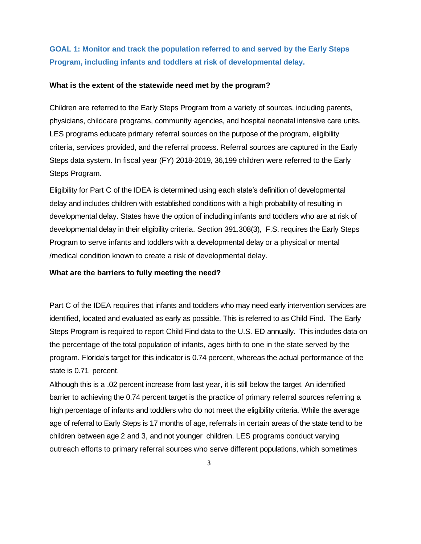## **GOAL 1: Monitor and track the population referred to and served by the Early Steps Program, including infants and toddlers at risk of developmental delay.**

#### **What is the extent of the statewide need met by the program?**

Children are referred to the Early Steps Program from a variety of sources, including parents, physicians, childcare programs, community agencies, and hospital neonatal intensive care units. LES programs educate primary referral sources on the purpose of the program, eligibility criteria, services provided, and the referral process. Referral sources are captured in the Early Steps data system. In fiscal year (FY) 2018-2019, 36,199 children were referred to the Early Steps Program.

Eligibility for Part C of the IDEA is determined using each state's definition of developmental delay and includes children with established conditions with a high probability of resulting in developmental delay. States have the option of including infants and toddlers who are at risk of developmental delay in their eligibility criteria. Section 391.308(3), F.S. requires the Early Steps Program to serve infants and toddlers with a developmental delay or a physical or mental /medical condition known to create a risk of developmental delay.

#### <span id="page-5-0"></span>**What are the barriers to fully meeting the need?**

Part C of the IDEA requires that infants and toddlers who may need early intervention services are identified, located and evaluated as early as possible. This is referred to as Child Find. The Early Steps Program is required to report Child Find data to the U.S. ED annually. This includes data on the percentage of the total population of infants, ages birth to one in the state served by the program. Florida's target for this indicator is 0.74 percent, whereas the actual performance of the state is 0.71 percent.

Although this is a .02 percent increase from last year, it is still below the target. An identified barrier to achieving the 0.74 percent target is the practice of primary referral sources referring a high percentage of infants and toddlers who do not meet the eligibility criteria. While the average age of referral to Early Steps is 17 months of age, referrals in certain areas of the state tend to be children between age 2 and 3, and not younger children. LES programs conduct varying outreach efforts to primary referral sources who serve different populations, which sometimes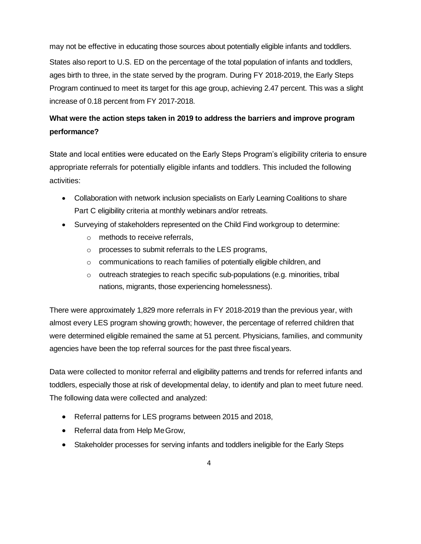may not be effective in educating those sources about potentially eligible infants and toddlers. States also report to U.S. ED on the percentage of the total population of infants and toddlers, ages birth to three, in the state served by the program. During FY 2018-2019, the Early Steps Program continued to meet its target for this age group, achieving 2.47 percent. This was a slight increase of 0.18 percent from FY 2017-2018.

## <span id="page-6-0"></span>**What were the action steps taken in 2019 to address the barriers and improve program performance?**

State and local entities were educated on the Early Steps Program's eligibility criteria to ensure appropriate referrals for potentially eligible infants and toddlers. This included the following activities:

- Collaboration with network inclusion specialists on Early Learning Coalitions to share Part C eligibility criteria at monthly webinars and/or retreats.
- Surveying of stakeholders represented on the Child Find workgroup to determine:
	- o methods to receive referrals,
	- o processes to submit referrals to the LES programs,
	- o communications to reach families of potentially eligible children, and
	- o outreach strategies to reach specific sub-populations (e.g. minorities, tribal nations, migrants, those experiencing homelessness).

There were approximately 1,829 more referrals in FY 2018-2019 than the previous year, with almost every LES program showing growth; however, the percentage of referred children that were determined eligible remained the same at 51 percent. Physicians, families, and community agencies have been the top referral sources for the past three fiscal years.

Data were collected to monitor referral and eligibility patterns and trends for referred infants and toddlers, especially those at risk of developmental delay, to identify and plan to meet future need. The following data were collected and analyzed:

- Referral patterns for LES programs between 2015 and 2018,
- Referral data from Help MeGrow,
- Stakeholder processes for serving infants and toddlers ineligible for the Early Steps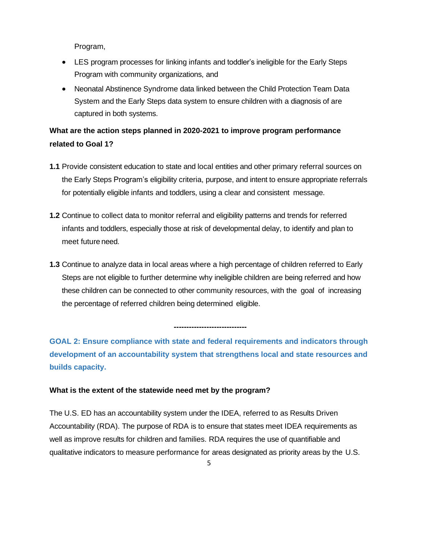Program,

- LES program processes for linking infants and toddler's ineligible for the Early Steps Program with community organizations, and
- Neonatal Abstinence Syndrome data linked between the Child Protection Team Data System and the Early Steps data system to ensure children with a diagnosis of are captured in both systems.

## **What are the action steps planned in 2020-2021 to improve program performance related to Goal 1?**

- **1.1** Provide consistent education to state and local entities and other primary referral sources on the Early Steps Program's eligibility criteria, purpose, and intent to ensure appropriate referrals for potentially eligible infants and toddlers, using a clear and consistent message.
- **1.2** Continue to collect data to monitor referral and eligibility patterns and trends for referred infants and toddlers, especially those at risk of developmental delay, to identify and plan to meet future need.
- **1.3** Continue to analyze data in local areas where a high percentage of children referred to Early Steps are not eligible to further determine why ineligible children are being referred and how these children can be connected to other community resources, with the goal of increasing the percentage of referred children being determined eligible.

<span id="page-7-0"></span>**GOAL 2: Ensure compliance with state and federal requirements and indicators through development of an accountability system that strengthens local and state resources and builds capacity.**

**-----------------------------**

#### <span id="page-7-1"></span>**What is the extent of the statewide need met by the program?**

The U.S. ED has an accountability system under the IDEA, referred to as Results Driven Accountability (RDA). The purpose of RDA is to ensure that states meet IDEA requirements as well as improve results for children and families. RDA requires the use of quantifiable and qualitative indicators to measure performance for areas designated as priority areas by the U.S.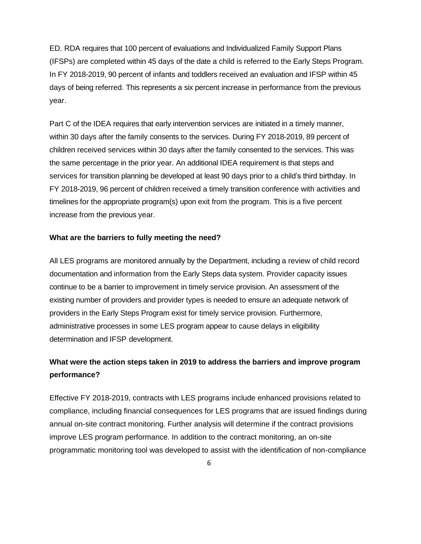ED. RDA requires that 100 percent of evaluations and Individualized Family Support Plans (IFSPs) are completed within 45 days of the date a child is referred to the Early Steps Program. In FY 2018-2019, 90 percent of infants and toddlers received an evaluation and IFSP within 45 days of being referred. This represents a six percent increase in performance from the previous year.

Part C of the IDEA requires that early intervention services are initiated in a timely manner, within 30 days after the family consents to the services. During FY 2018-2019, 89 percent of children received services within 30 days after the family consented to the services. This was the same percentage in the prior year. An additional IDEA requirement is that steps and services for transition planning be developed at least 90 days prior to a child's third birthday. In FY 2018-2019, 96 percent of children received a timely transition conference with activities and timelines for the appropriate program(s) upon exit from the program. This is a five percent increase from the previous year.

#### <span id="page-8-0"></span>**What are the barriers to fully meeting the need?**

All LES programs are monitored annually by the Department, including a review of child record documentation and information from the Early Steps data system. Provider capacity issues continue to be a barrier to improvement in timely service provision. An assessment of the existing number of providers and provider types is needed to ensure an adequate network of providers in the Early Steps Program exist for timely service provision. Furthermore, administrative processes in some LES program appear to cause delays in eligibility determination and IFSP development.

## <span id="page-8-1"></span>**What were the action steps taken in 2019 to address the barriers and improve program performance?**

Effective FY 2018-2019, contracts with LES programs include enhanced provisions related to compliance, including financial consequences for LES programs that are issued findings during annual on-site contract monitoring. Further analysis will determine if the contract provisions improve LES program performance. In addition to the contract monitoring, an on-site programmatic monitoring tool was developed to assist with the identification of non-compliance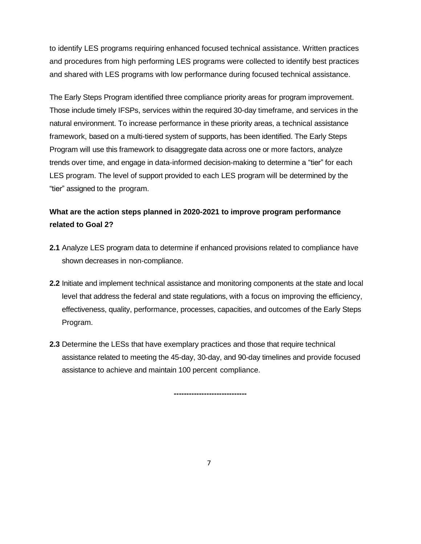to identify LES programs requiring enhanced focused technical assistance. Written practices and procedures from high performing LES programs were collected to identify best practices and shared with LES programs with low performance during focused technical assistance.

The Early Steps Program identified three compliance priority areas for program improvement. Those include timely IFSPs, services within the required 30-day timeframe, and services in the natural environment. To increase performance in these priority areas, a technical assistance framework, based on a multi-tiered system of supports, has been identified. The Early Steps Program will use this framework to disaggregate data across one or more factors, analyze trends over time, and engage in data-informed decision-making to determine a "tier" for each LES program. The level of support provided to each LES program will be determined by the "tier" assigned to the program.

## **What are the action steps planned in 2020-2021 to improve program performance related to Goal 2?**

- **2.1** Analyze LES program data to determine if enhanced provisions related to compliance have shown decreases in non-compliance.
- **2.2** Initiate and implement technical assistance and monitoring components at the state and local level that address the federal and state regulations, with a focus on improving the efficiency, effectiveness, quality, performance, processes, capacities, and outcomes of the Early Steps Program.
- **2.3** Determine the LESs that have exemplary practices and those that require technical assistance related to meeting the 45-day, 30-day, and 90-day timelines and provide focused assistance to achieve and maintain 100 percent compliance.

**-----------------------------**

7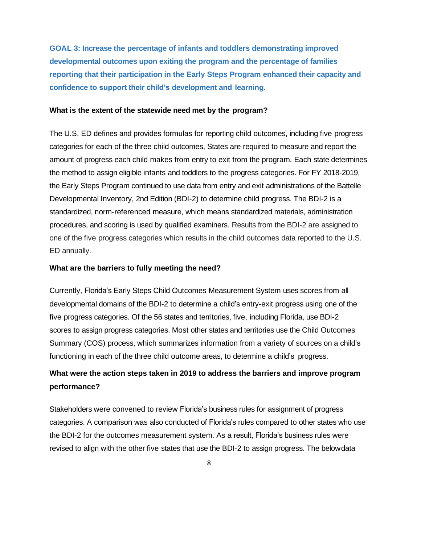<span id="page-10-0"></span>**GOAL 3: Increase the percentage of infants and toddlers demonstrating improved developmental outcomes upon exiting the program and the percentage of families reporting that their participation in the Early Steps Program enhanced their capacity and confidence to support their child's development and learning.**

#### <span id="page-10-1"></span>**What is the extent of the statewide need met by the program?**

<span id="page-10-2"></span>The U.S. ED defines and provides formulas for reporting child outcomes, including five progress categories for each of the three child outcomes, States are required to measure and report the amount of progress each child makes from entry to exit from the program. Each state determines the method to assign eligible infants and toddlers to the progress categories. For FY 2018-2019, the Early Steps Program continued to use data from entry and exit administrations of the Battelle Developmental Inventory, 2nd Edition (BDI-2) to determine child progress. The BDI-2 is a standardized, norm-referenced measure, which means standardized materials, administration procedures, and scoring is used by qualified examiners. Results from the BDI-2 are assigned to one of the five progress categories which results in the child outcomes data reported to the U.S. ED annually.

#### **What are the barriers to fully meeting the need?**

Currently, Florida's Early Steps Child Outcomes Measurement System uses scores from all developmental domains of the BDI-2 to determine a child's entry-exit progress using one of the five progress categories. Of the 56 states and territories, five, including Florida, use BDI-2 scores to assign progress categories. Most other states and territories use the Child Outcomes Summary (COS) process, which summarizes information from a variety of sources on a child's functioning in each of the three child outcome areas, to determine a child's progress.

## <span id="page-10-3"></span>**What were the action steps taken in 2019 to address the barriers and improve program performance?**

Stakeholders were convened to review Florida's business rules for assignment of progress categories. A comparison was also conducted of Florida's rules compared to other states who use the BDI-2 for the outcomes measurement system. As a result, Florida's business rules were revised to align with the other five states that use the BDI-2 to assign progress. The belowdata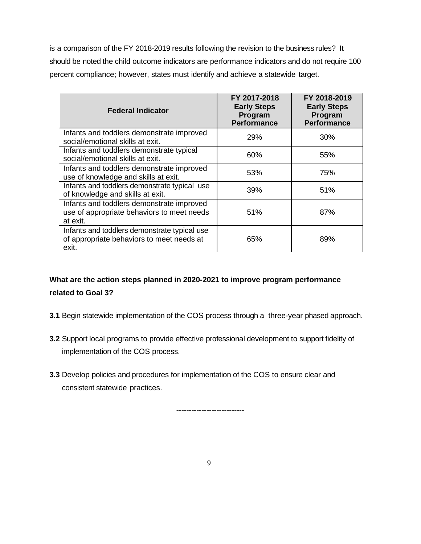is a comparison of the FY 2018-2019 results following the revision to the business rules? It should be noted the child outcome indicators are performance indicators and do not require 100 percent compliance; however, states must identify and achieve a statewide target.

| <b>Federal Indicator</b>                                                                            | FY 2017-2018<br><b>Early Steps</b><br>Program<br>Performance | FY 2018-2019<br><b>Early Steps</b><br>Program<br><b>Performance</b> |
|-----------------------------------------------------------------------------------------------------|--------------------------------------------------------------|---------------------------------------------------------------------|
| Infants and toddlers demonstrate improved<br>social/emotional skills at exit.                       | 29%                                                          | 30%                                                                 |
| Infants and toddlers demonstrate typical<br>social/emotional skills at exit.                        | 60%                                                          | 55%                                                                 |
| Infants and toddlers demonstrate improved<br>use of knowledge and skills at exit.                   | 53%                                                          | 75%                                                                 |
| Infants and toddlers demonstrate typical use<br>of knowledge and skills at exit.                    | 39%                                                          | 51%                                                                 |
| Infants and toddlers demonstrate improved<br>use of appropriate behaviors to meet needs<br>at exit. | 51%                                                          | 87%                                                                 |
| Infants and toddlers demonstrate typical use<br>of appropriate behaviors to meet needs at<br>exit.  | 65%                                                          | 89%                                                                 |

## **What are the action steps planned in 2020-2021 to improve program performance related to Goal 3?**

- **3.1** Begin statewide implementation of the COS process through a three-year phased approach.
- **3.2** Support local programs to provide effective professional development to support fidelity of implementation of the COS process.
- **3.3** Develop policies and procedures for implementation of the COS to ensure clear and consistent statewide practices.

**---------------------------**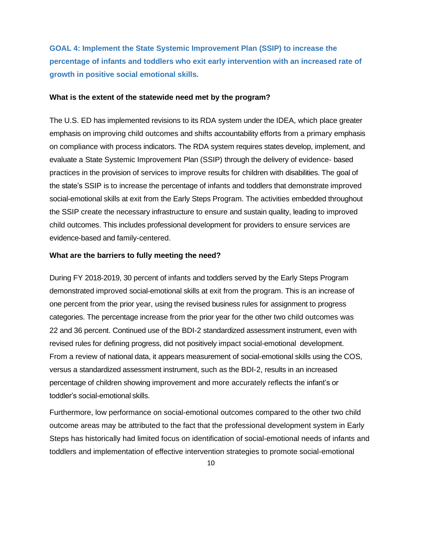<span id="page-12-0"></span>**GOAL 4: Implement the State Systemic Improvement Plan (SSIP) to increase the percentage of infants and toddlers who exit early intervention with an increased rate of growth in positive social emotional skills.**

#### **What is the extent of the statewide need met by the program?**

The U.S. ED has implemented revisions to its RDA system under the IDEA, which place greater emphasis on improving child outcomes and shifts accountability efforts from a primary emphasis on compliance with process indicators. The RDA system requires states develop, implement, and evaluate a State Systemic Improvement Plan (SSIP) through the delivery of evidence- based practices in the provision of services to improve results for children with disabilities. The goal of the state's SSIP is to increase the percentage of infants and toddlers that demonstrate improved social-emotional skills at exit from the Early Steps Program. The activities embedded throughout the SSIP create the necessary infrastructure to ensure and sustain quality, leading to improved child outcomes. This includes professional development for providers to ensure services are evidence-based and family-centered.

#### **What are the barriers to fully meeting the need?**

During FY 2018-2019, 30 percent of infants and toddlers served by the Early Steps Program demonstrated improved social-emotional skills at exit from the program. This is an increase of one percent from the prior year, using the revised business rules for assignment to progress categories. The percentage increase from the prior year for the other two child outcomes was 22 and 36 percent. Continued use of the BDI-2 standardized assessment instrument, even with revised rules for defining progress, did not positively impact social-emotional development. From a review of national data, it appears measurement of social-emotional skills using the COS, versus a standardized assessment instrument, such as the BDI-2, results in an increased percentage of children showing improvement and more accurately reflects the infant's or toddler's social-emotional skills.

Furthermore, low performance on social-emotional outcomes compared to the other two child outcome areas may be attributed to the fact that the professional development system in Early Steps has historically had limited focus on identification of social-emotional needs of infants and toddlers and implementation of effective intervention strategies to promote social-emotional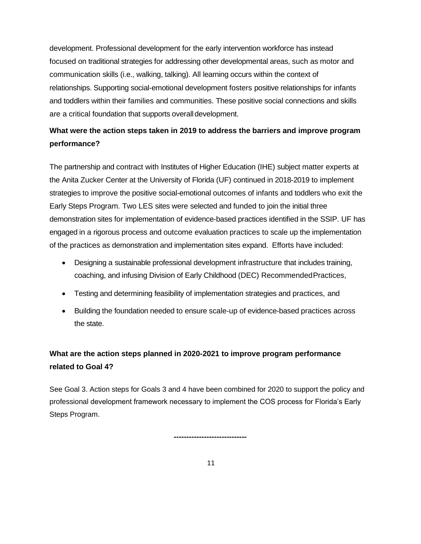development. Professional development for the early intervention workforce has instead focused on traditional strategies for addressing other developmental areas, such as motor and communication skills (i.e., walking, talking). All learning occurs within the context of relationships. Supporting social-emotional development fosters positive relationships for infants and toddlers within their families and communities. These positive social connections and skills are a critical foundation that supports overalldevelopment.

## **What were the action steps taken in 2019 to address the barriers and improve program performance?**

The partnership and contract with Institutes of Higher Education (IHE) subject matter experts at the Anita Zucker Center at the University of Florida (UF) continued in 2018-2019 to implement strategies to improve the positive social-emotional outcomes of infants and toddlers who exit the Early Steps Program. Two LES sites were selected and funded to join the initial three demonstration sites for implementation of evidence-based practices identified in the SSIP. UF has engaged in a rigorous process and outcome evaluation practices to scale up the implementation of the practices as demonstration and implementation sites expand. Efforts have included:

- Designing a sustainable professional development infrastructure that includes training, coaching, and infusing Division of Early Childhood (DEC) RecommendedPractices,
- Testing and determining feasibility of implementation strategies and practices, and
- Building the foundation needed to ensure scale-up of evidence-based practices across the state.

## **What are the action steps planned in 2020-2021 to improve program performance related to Goal 4?**

See Goal 3. Action steps for Goals 3 and 4 have been combined for 2020 to support the policy and professional development framework necessary to implement the COS process for Florida's Early Steps Program.

**-----------------------------**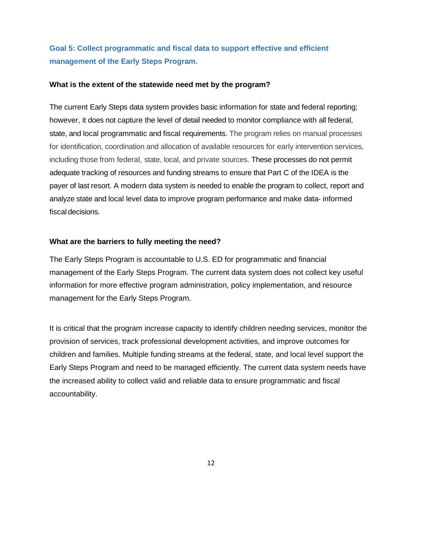## <span id="page-14-0"></span>**Goal 5: Collect programmatic and fiscal data to support effective and efficient management of the Early Steps Program.**

#### **What is the extent of the statewide need met by the program?**

The current Early Steps data system provides basic information for state and federal reporting; however, it does not capture the level of detail needed to monitor compliance with all federal, state, and local programmatic and fiscal requirements. The program relies on manual processes for identification, coordination and allocation of available resources for early intervention services, including those from federal, state, local, and private sources. These processes do not permit adequate tracking of resources and funding streams to ensure that Part C of the IDEA is the payer of last resort. A modern data system is needed to enable the program to collect, report and analyze state and local level data to improve program performance and make data- informed fiscal decisions.

#### **What are the barriers to fully meeting the need?**

The Early Steps Program is accountable to U.S. ED for programmatic and financial management of the Early Steps Program. The current data system does not collect key useful information for more effective program administration, policy implementation, and resource management for the Early Steps Program.

It is critical that the program increase capacity to identify children needing services, monitor the provision of services, track professional development activities, and improve outcomes for children and families. Multiple funding streams at the federal, state, and local level support the Early Steps Program and need to be managed efficiently. The current data system needs have the increased ability to collect valid and reliable data to ensure programmatic and fiscal accountability.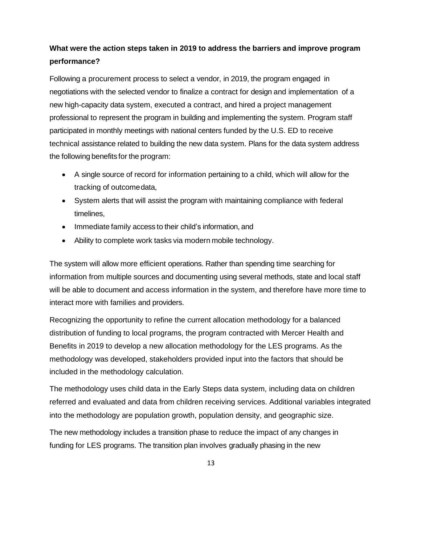## **What were the action steps taken in 2019 to address the barriers and improve program performance?**

Following a procurement process to select a vendor, in 2019, the program engaged in negotiations with the selected vendor to finalize a contract for design and implementation of a new high-capacity data system, executed a contract, and hired a project management professional to represent the program in building and implementing the system. Program staff participated in monthly meetings with national centers funded by the U.S. ED to receive technical assistance related to building the new data system. Plans for the data system address the following benefits for the program:

- A single source of record for information pertaining to a child, which will allow for the tracking of outcomedata,
- System alerts that will assist the program with maintaining compliance with federal timelines,
- Immediate family access to their child's information, and
- Ability to complete work tasks via modern mobile technology.

The system will allow more efficient operations. Rather than spending time searching for information from multiple sources and documenting using several methods, state and local staff will be able to document and access information in the system, and therefore have more time to interact more with families and providers.

Recognizing the opportunity to refine the current allocation methodology for a balanced distribution of funding to local programs, the program contracted with Mercer Health and Benefits in 2019 to develop a new allocation methodology for the LES programs. As the methodology was developed, stakeholders provided input into the factors that should be included in the methodology calculation.

The methodology uses child data in the Early Steps data system, including data on children referred and evaluated and data from children receiving services. Additional variables integrated into the methodology are population growth, population density, and geographic size.

The new methodology includes a transition phase to reduce the impact of any changes in funding for LES programs. The transition plan involves gradually phasing in the new